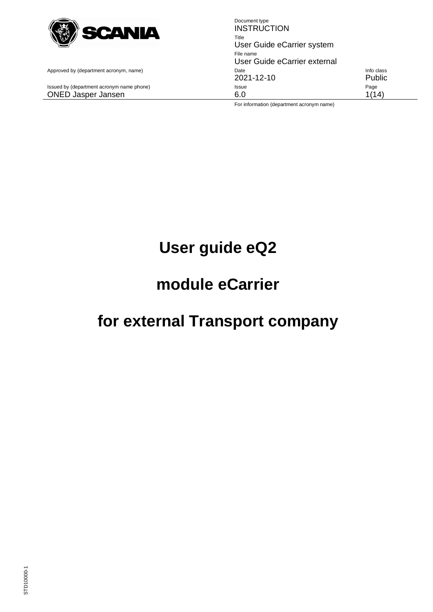

Document type **INSTRUCTION** Title User Guide eCarrier system File name User Guide eCarrier external Approved by (department acronym, name) example according to the United State Info class 2021-12-10 Public Issued by (department acronym name phone) **Issue Issue Page** ONED Jasper Jansen 1986 (1998) 6.0 1(14)

For information (department acronym name)

# **User guide eQ2**

# **module eCarrier**

# **for external Transport company**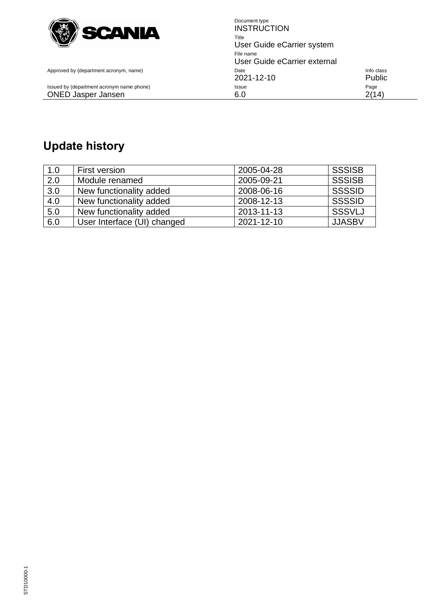

Issued by (department acronym name phone) Issue

Document type **INSTRUCTION** Title User Guide eCarrier system File name User Guide eCarrier external Approved by (department acronym, name) example and the Date Info class control of the class 2021-12-10 Public<br>
Issue Page ONED Jasper Jansen 2(14)

## **Update history**

| 1.0              | <b>First version</b>        | 2005-04-28 | <b>SSSISB</b> |
|------------------|-----------------------------|------------|---------------|
| $\overline{2.0}$ | Module renamed              | 2005-09-21 | <b>SSSISB</b> |
| 3.0              | New functionality added     | 2008-06-16 | <b>SSSSID</b> |
| 4.0              | New functionality added     | 2008-12-13 | <b>SSSSID</b> |
| 5.0              | New functionality added     | 2013-11-13 | <b>SSSVLJ</b> |
| 6.0              | User Interface (UI) changed | 2021-12-10 | <b>JJASBV</b> |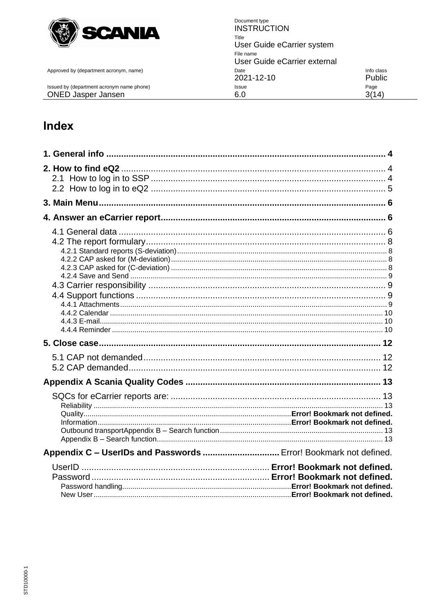

Approved by (department acronym, name)

Issued by (department acronym name phone) **ONED Jasper Jansen** 

Document type **INSTRUCTION** Title User Guide eCarrier system File name User Guide eCarrier external Info class Date 2021-12-10 Public Page Issue  $6.0$  $3(14)$ 

## Index

| Appendix C - UserIDs and Passwords  Error! Bookmark not defined. |  |
|------------------------------------------------------------------|--|
|                                                                  |  |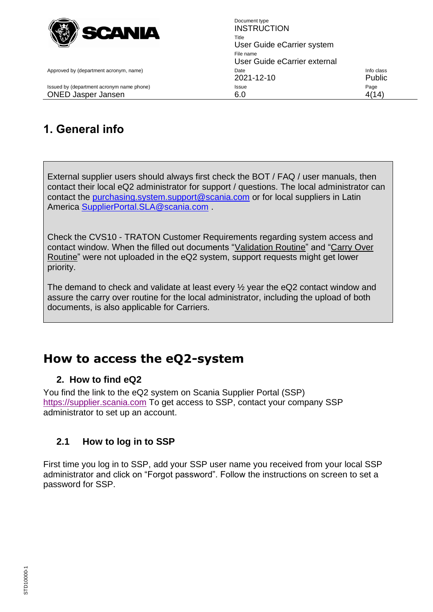

<span id="page-3-0"></span>

Document type **INSTRUCTION** Title User Guide eCarrier system File name User Guide eCarrier external Approved by (department acronym, name) and the Info class of the Info class of the Info class of the Info class 2021-12-10 Public Issued by (department acronym name phone) **Issue Issue Page Page** ONED Jasper Jansen 6.0 4(14)

## **1. General info**

External supplier users should always first check the BOT / FAQ / user manuals, then contact their local eQ2 administrator for support / questions. The local administrator can contact the [purchasing.system.support@scania.com](mailto:purchasing.system.support@scania.com) or for local suppliers in Latin America [SupplierPortal.SLA@scania.com](mailto:SupplierPortal.SLA@scania.com) .

Check the CVS10 - TRATON Customer Requirements regarding system access and contact window. When the filled out documents "Validation Routine" and "Carry Over Routine" were not uploaded in the eQ2 system, support requests might get lower priority.

The demand to check and validate at least every ½ year the eQ2 contact window and assure the carry over routine for the local administrator, including the upload of both documents, is also applicable for Carriers.

## **How to access the eQ2-system**

## <span id="page-3-1"></span>**2. How to find eQ2**

You find the link to the eQ2 system on Scania Supplier Portal (SSP) [https://supplier.scania.com](https://supplier.scania.com/) To get access to SSP, contact your company SSP administrator to set up an account.

## <span id="page-3-2"></span>**2.1 How to log in to SSP**

First time you log in to SSP, add your SSP user name you received from your local SSP administrator and click on "Forgot password". Follow the instructions on screen to set a password for SSP.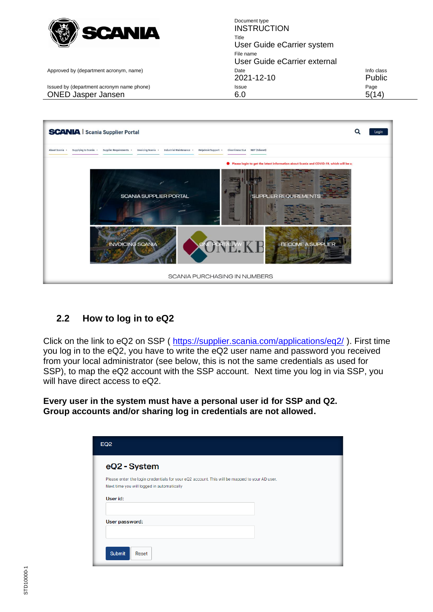

Document type **INSTRUCTION** Title User Guide eCarrier system File name User Guide eCarrier external Approved by (department acronym, name) and the Info class of the Info class of the Info class of the Info class 2021-12-10 Public Issued by (department acronym name phone) **Issue Issue Page Page** ONED Jasper Jansen 6.0 6.0 5(14)



## <span id="page-4-0"></span>**2.2 How to log in to eQ2**

Click on the link to eQ2 on SSP (<https://supplier.scania.com/applications/eq2/> ). First time you log in to the eQ2, you have to write the eQ2 user name and password you received from your local administrator (see below, this is not the same credentials as used for SSP), to map the eQ2 account with the SSP account. Next time you log in via SSP, you will have direct access to eQ2.

**Every user in the system must have a personal user id for SSP and Q2. Group accounts and/or sharing log in credentials are not allowed.**

| eQ2 - System   |                                                                                                                                             |  |  |
|----------------|---------------------------------------------------------------------------------------------------------------------------------------------|--|--|
|                | Please enter the login credentials for your eQ2 account. This will be mapped to your AD user.<br>Next time you will logged in automatically |  |  |
| User id:       |                                                                                                                                             |  |  |
| User password: |                                                                                                                                             |  |  |
| <b>Submit</b>  | Reset                                                                                                                                       |  |  |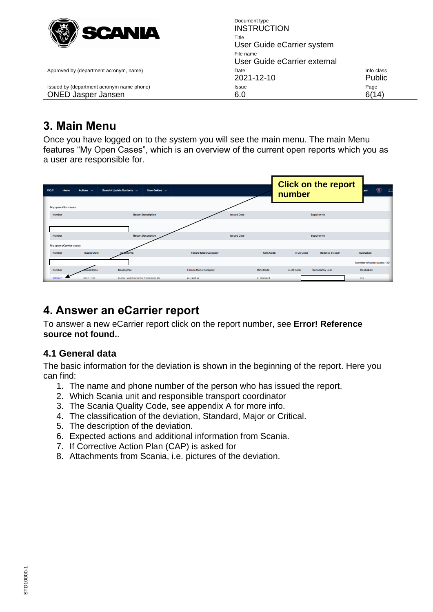

Document type **INSTRUCTION** Title User Guide eCarrier system File name User Guide eCarrier external Approved by (department acronym, name) and the Info class of the Info class of the Info class of the Info class 2021-12-10 Public Issued by (department acronym name phone) **Issue Issue Page** ONED Jasper Jansen 6.0 6(14)

## <span id="page-5-0"></span>**3. Main Menu**

Once you have logged on to the system you will see the main menu. The main Menu features "My Open Cases", which is an overview of the current open reports which you as a user are responsible for.

| <b>EQ2</b><br>Home<br>My open eScr cases | Actions $\sim$     | Search/ Update Contacts $\sim$<br>User Guides $\vee$ |                              |                    |                 | number    | <b>Click on the report</b> | $\bullet$<br>lout         | $\sqrt{2}$ |
|------------------------------------------|--------------------|------------------------------------------------------|------------------------------|--------------------|-----------------|-----------|----------------------------|---------------------------|------------|
| Number                                   |                    | <b>Report Description</b>                            |                              | <b>Issued Date</b> |                 |           | <b>Supplier No</b>         |                           |            |
| <b>Number</b>                            |                    | <b>Report Description</b>                            |                              | <b>Issued Date</b> |                 |           | <b>Supplier No</b>         |                           |            |
| My open eCarrier cases                   |                    |                                                      |                              |                    |                 |           |                            |                           |            |
| <b>Number</b>                            | <b>Issued Date</b> | ing Pru                                              | <b>Failure Mode Category</b> |                    | <b>Cms Code</b> | e-LC Code | <b>Updated by user</b>     | CapAsked                  |            |
|                                          |                    |                                                      |                              |                    |                 |           |                            | Number of open cases: 110 |            |
| <b>Number</b>                            | sued Date          | <b>Issuing Pru</b>                                   | <b>Failure Mode Category</b> |                    | <b>Cms Code</b> | e-LC Code | <b>Updated by user</b>     | CapAsked                  |            |
| C18863                                   | 2021-11-22         | Scania - Logistics Centre Netherlands ON             | Late pick up                 |                    | S - Standard    |           |                            | Yes                       |            |

## <span id="page-5-1"></span>**4. Answer an eCarrier report**

To answer a new eCarrier report click on the report number, see **Error! Reference source not found.**.

## <span id="page-5-2"></span>**4.1 General data**

The basic information for the deviation is shown in the beginning of the report. Here you can find:

- 1. The name and phone number of the person who has issued the report.
- 2. Which Scania unit and responsible transport coordinator
- 3. The Scania Quality Code, see appendix A for more info.
- 4. The classification of the deviation, Standard, Major or Critical.
- 5. The description of the deviation.
- 6. Expected actions and additional information from Scania.
- 7. If Corrective Action Plan (CAP) is asked for
- 8. Attachments from Scania, i.e. pictures of the deviation.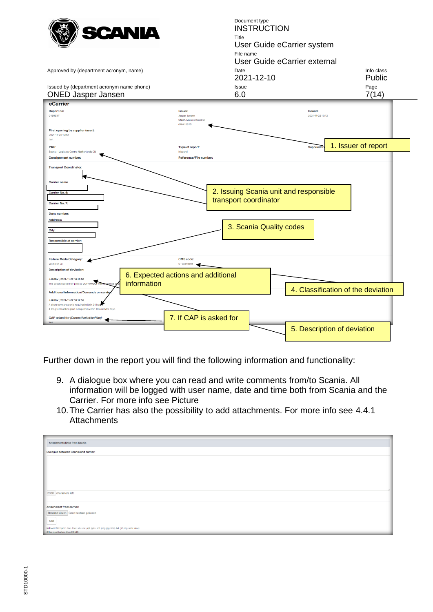

Further down in the report you will find the following information and functionality:

- 9. A dialogue box where you can read and write comments from/to Scania. All information will be logged with user name, date and time both from Scania and the Carrier. For more info see Picture
- 10.The Carrier has also the possibility to add attachments. For more info see [4.4.1](#page-8-3)  **[Attachments](#page-8-3)**

| <b>Attachments links from Scania</b>                                                                 |  |  |  |  |  |
|------------------------------------------------------------------------------------------------------|--|--|--|--|--|
| Dialogue between Scania and carrier:                                                                 |  |  |  |  |  |
|                                                                                                      |  |  |  |  |  |
|                                                                                                      |  |  |  |  |  |
|                                                                                                      |  |  |  |  |  |
|                                                                                                      |  |  |  |  |  |
| 2000 characters left                                                                                 |  |  |  |  |  |
| Attachment from carrier:                                                                             |  |  |  |  |  |
| Bestand kiezen Geen bestand gekozen                                                                  |  |  |  |  |  |
| Add                                                                                                  |  |  |  |  |  |
| (Allowed file types: .doc .docx .xls .xlsx .ppt .pptx .pdf .jpeg .jpg .bmp .txt .gif .png .wmv .mov) |  |  |  |  |  |
| (Files must be less than 20 MB)                                                                      |  |  |  |  |  |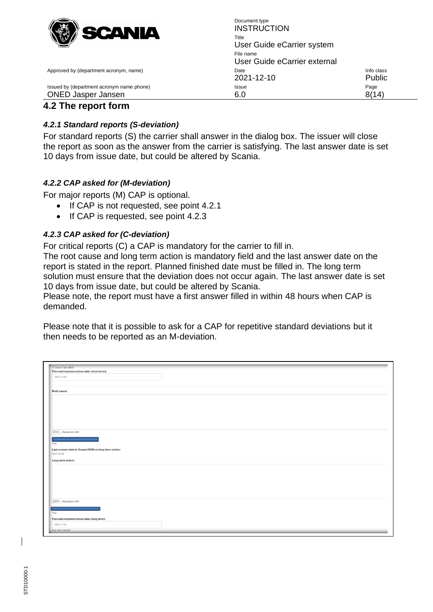

Document type **INSTRUCTION** Title User Guide eCarrier system File name User Guide eCarrier external Approved by (department acronym, name) and the Info class of the Info class of the Info class of the Info class 2021-12-10 Public Issued by (department acronym name phone) **ISSUE** Issue **ISSUE Page** Page ONED Jasper Jansen 6.0 6.0 8(14)

## <span id="page-7-0"></span>**4.2 The report form**

### <span id="page-7-1"></span>*4.2.1 Standard reports (S-deviation)*

For standard reports (S) the carrier shall answer in the dialog box. The issuer will close the report as soon as the answer from the carrier is satisfying. The last answer date is set 10 days from issue date, but could be altered by Scania.

### <span id="page-7-2"></span>*4.2.2 CAP asked for (M-deviation)*

For major reports (M) CAP is optional.

- If CAP is not requested, see point 4.2.1
- If CAP is requested, see point 4.2.3

### <span id="page-7-3"></span>*4.2.3 CAP asked for (C-deviation)*

For critical reports (C) a CAP is mandatory for the carrier to fill in.

The root cause and long term action is mandatory field and the last answer date on the report is stated in the report. Planned finished date must be filled in. The long term solution must ensure that the deviation does not occur again. The last answer date is set 10 days from issue date, but could be altered by Scania.

Please note, the report must have a first answer filled in within 48 hours when CAP is demanded.

Please note that it is possible to ask for a CAP for repetitive standard deviations but it then needs to be reported as an M-deviation.

| Short Term N/A                                      |  |
|-----------------------------------------------------|--|
| Planned implementation date (short term):           |  |
| 2021-11-28                                          |  |
| Root cause:                                         |  |
|                                                     |  |
|                                                     |  |
|                                                     |  |
| 2000 characters left                                |  |
| Test                                                |  |
| Last answer date to Scania/MAN on long term action: |  |
| 2021-12-02                                          |  |
| Long term action:                                   |  |
|                                                     |  |
|                                                     |  |
|                                                     |  |
|                                                     |  |
|                                                     |  |
|                                                     |  |
| 2000 characters left                                |  |
|                                                     |  |
| Test                                                |  |
| Planned implementation date (long term):            |  |
|                                                     |  |
| 2021-11-26<br>$(e.g.$ yyyy-mm-dd)                   |  |

STD10000-1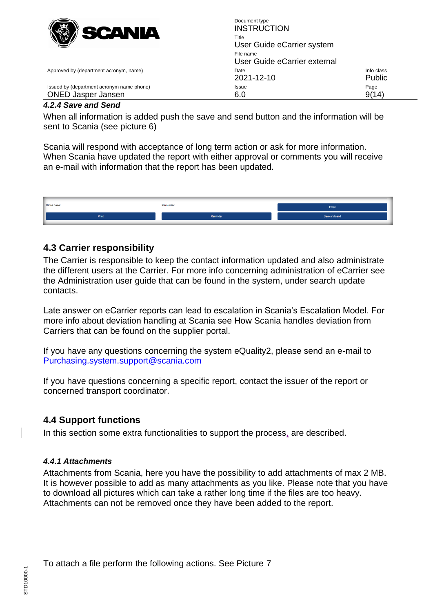

<span id="page-8-0"></span>*4.2.4 Save and Send*

When all information is added push the save and send button and the information will be sent to Scania (see picture 6)

Scania will respond with acceptance of long term action or ask for more information. When Scania have updated the report with either approval or comments you will receive an e-mail with information that the report has been updated.



### <span id="page-8-1"></span>**4.3 Carrier responsibility**

The Carrier is responsible to keep the contact information updated and also administrate the different users at the Carrier. For more info concerning administration of eCarrier see the Administration user guide that can be found in the system, under search update contacts.

Late answer on eCarrier reports can lead to escalation in Scania's Escalation Model. For more info about deviation handling at Scania see How Scania handles deviation from Carriers that can be found on the supplier portal.

If you have any questions concerning the system eQuality2, please send an e-mail to [Purchasing.system.support@scania.com](mailto:Purchasing.system.support@scania.com) 

If you have questions concerning a specific report, contact the issuer of the report or concerned transport coordinator.

### <span id="page-8-2"></span>**4.4 Support functions**

In this section some extra functionalities to support the process, are described.

### <span id="page-8-3"></span>*4.4.1 Attachments*

Attachments from Scania, here you have the possibility to add attachments of max 2 MB. It is however possible to add as many attachments as you like. Please note that you have to download all pictures which can take a rather long time if the files are too heavy. Attachments can not be removed once they have been added to the report.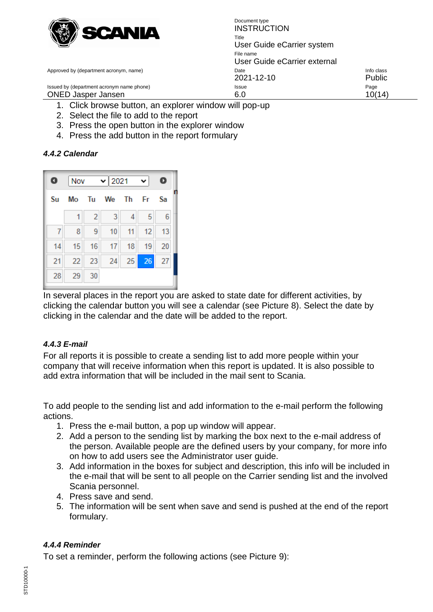

Document type **INSTRUCTION** Title User Guide eCarrier system File name User Guide eCarrier external Approved by (department acronym, name) and the Info class of the Info class of the Info class of the Info class 2021-12-10 Public Issued by (department acronym name phone) **Issue Issue Page** ONED Jasper Jansen 6.0 6.0 10(14)

- 1. Click browse button, an explorer window will pop-up
- 2. Select the file to add to the report
- 3. Press the open button in the explorer window
- 4. Press the add button in the report formulary

### <span id="page-9-0"></span>*4.4.2 Calendar*



In several places in the report you are asked to state date for different activities, by clicking the calendar button you will see a calendar (see Picture 8). Select the date by clicking in the calendar and the date will be added to the report.

### <span id="page-9-1"></span>*4.4.3 E-mail*

For all reports it is possible to create a sending list to add more people within your company that will receive information when this report is updated. It is also possible to add extra information that will be included in the mail sent to Scania.

To add people to the sending list and add information to the e-mail perform the following actions.

- 1. Press the e-mail button, a pop up window will appear.
- 2. Add a person to the sending list by marking the box next to the e-mail address of the person. Available people are the defined users by your company, for more info on how to add users see the Administrator user guide.
- 3. Add information in the boxes for subject and description, this info will be included in the e-mail that will be sent to all people on the Carrier sending list and the involved Scania personnel.
- 4. Press save and send.
- 5. The information will be sent when save and send is pushed at the end of the report formulary.

### <span id="page-9-2"></span>*4.4.4 Reminder*

To set a reminder, perform the following actions (see Picture 9):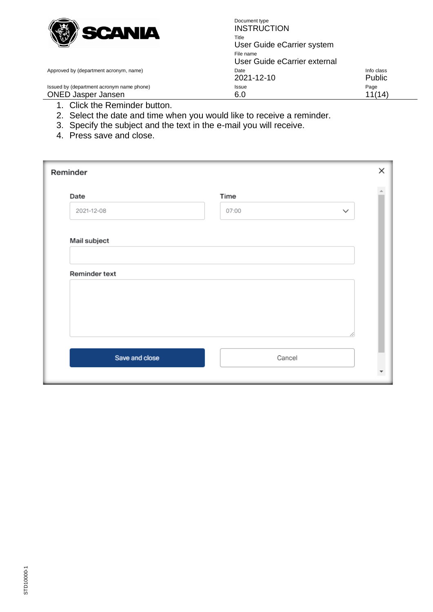

Document type **INSTRUCTION** Title User Guide eCarrier system File name User Guide eCarrier external Approved by (department acronym, name) and accompany control of Date Info class 2021-12-10 Public Issued by (department acronym name phone) **Issue Issue Page** ONED Jasper Jansen 6.0 6.0 11(14)

- 
- - 1. Click the Reminder button.
	- 2. Select the date and time when you would like to receive a reminder.
	- 3. Specify the subject and the text in the e-mail you will receive.
	- 4. Press save and close.

| Reminder       |                       | × |
|----------------|-----------------------|---|
| Date           | Time                  |   |
| 2021-12-08     | 07:00<br>$\checkmark$ |   |
| Mail subject   |                       |   |
| Reminder text  |                       |   |
|                |                       |   |
|                |                       |   |
| Save and close | Cancel                |   |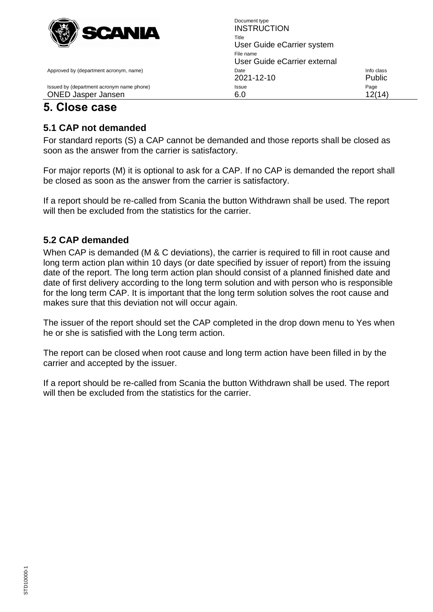

## <span id="page-11-0"></span>**5. Close case**

## <span id="page-11-1"></span>**5.1 CAP not demanded**

For standard reports (S) a CAP cannot be demanded and those reports shall be closed as soon as the answer from the carrier is satisfactory.

For major reports (M) it is optional to ask for a CAP. If no CAP is demanded the report shall be closed as soon as the answer from the carrier is satisfactory.

If a report should be re-called from Scania the button Withdrawn shall be used. The report will then be excluded from the statistics for the carrier.

## <span id="page-11-2"></span>**5.2 CAP demanded**

When CAP is demanded (M & C deviations), the carrier is required to fill in root cause and long term action plan within 10 days (or date specified by issuer of report) from the issuing date of the report. The long term action plan should consist of a planned finished date and date of first delivery according to the long term solution and with person who is responsible for the long term CAP. It is important that the long term solution solves the root cause and makes sure that this deviation not will occur again.

The issuer of the report should set the CAP completed in the drop down menu to Yes when he or she is satisfied with the Long term action.

The report can be closed when root cause and long term action have been filled in by the carrier and accepted by the issuer.

If a report should be re-called from Scania the button Withdrawn shall be used. The report will then be excluded from the statistics for the carrier.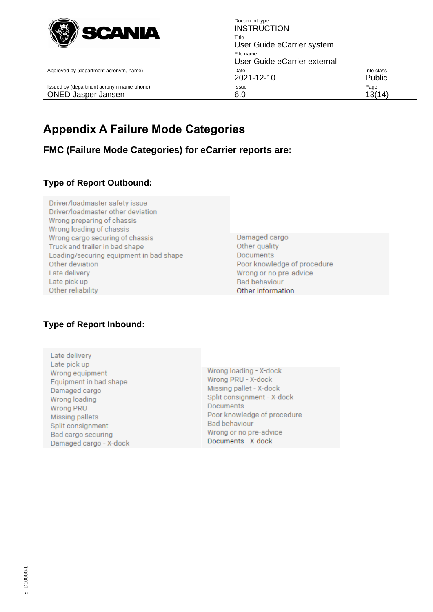

<span id="page-12-0"></span>

## **Appendix A Failure Mode Categories**

<span id="page-12-2"></span><span id="page-12-1"></span>**FMC (Failure Mode Categories) for eCarrier reports are:**

## <span id="page-12-3"></span>**Type of Report Outbound:**

- Driver/loadmaster safety issue Driver/loadmaster other deviation Wrong preparing of chassis Wrong loading of chassis Wrong cargo securing of chassis Truck and trailer in bad shape Loading/securing equipment in bad shape Other deviation Late delivery Late pick up Other reliability
- Damaged cargo Other quality **Documents** Poor knowledge of procedure Wrong or no pre-advice **Bad behaviour** Other information

## **Type of Report Inbound:**

Late delivery Late pick up Wrong equipment Equipment in bad shape Damaged cargo Wrong loading Wrong PRU Missing pallets Split consignment Bad cargo securing Damaged cargo - X-dock

Wrong loading - X-dock Wrong PRU - X-dock Missing pallet - X-dock Split consignment - X-dock **Documents** Poor knowledge of procedure Bad behaviour Wrong or no pre-advice Documents - X-dock